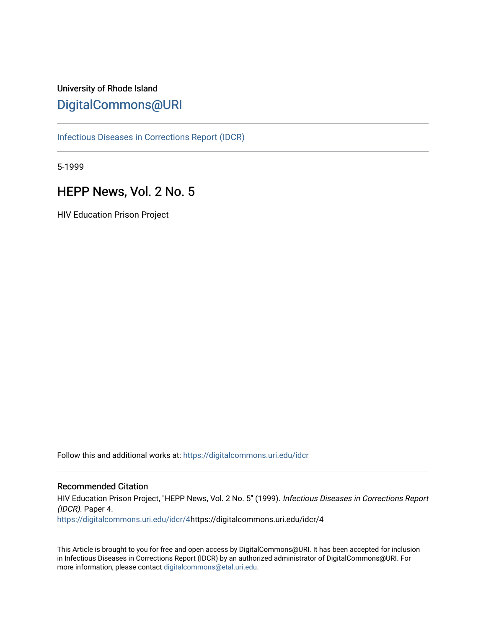## University of Rhode Island [DigitalCommons@URI](https://digitalcommons.uri.edu/)

[Infectious Diseases in Corrections Report \(IDCR\)](https://digitalcommons.uri.edu/idcr)

5-1999

## HEPP News, Vol. 2 No. 5

HIV Education Prison Project

Follow this and additional works at: [https://digitalcommons.uri.edu/idcr](https://digitalcommons.uri.edu/idcr?utm_source=digitalcommons.uri.edu%2Fidcr%2F4&utm_medium=PDF&utm_campaign=PDFCoverPages)

#### Recommended Citation

HIV Education Prison Project, "HEPP News, Vol. 2 No. 5" (1999). Infectious Diseases in Corrections Report (IDCR). Paper 4. [https://digitalcommons.uri.edu/idcr/4](https://digitalcommons.uri.edu/idcr/4?utm_source=digitalcommons.uri.edu%2Fidcr%2F4&utm_medium=PDF&utm_campaign=PDFCoverPages)https://digitalcommons.uri.edu/idcr/4

This Article is brought to you for free and open access by DigitalCommons@URI. It has been accepted for inclusion in Infectious Diseases in Corrections Report (IDCR) by an authorized administrator of DigitalCommons@URI. For more information, please contact [digitalcommons@etal.uri.edu.](mailto:digitalcommons@etal.uri.edu)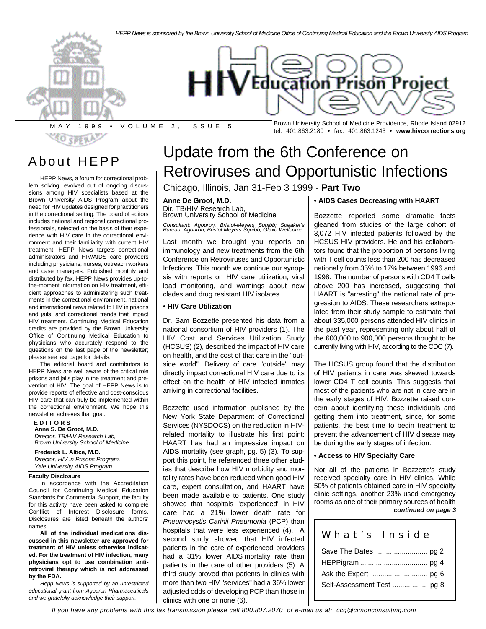

## About HEPP

HEPP News, a forum for correctional problem solving, evolved out of ongoing discussions among HIV specialists based at the Brown University AIDS Program about the need for HIV updates designed for practitioners in the correctional setting. The board of editors includes national and regional correctional professionals, selected on the basis of their experience with HIV care in the correctional environment and their familiarity with current HIV treatment. HEPP News targets correctional administrators and HIV/AIDS care providers including physicians, nurses, outreach workers and case managers. Published monthly and distributed by fax, HEPP News provides up-tothe-moment information on HIV treatment, efficient approaches to administering such treatments in the correctional environment, national and international news related to HIV in prisons and jails, and correctional trends that impact HIV treatment. Continuing Medical Education credits are provided by the Brown University Office of Continuing Medical Education to physicians who accurately respond to the questions on the last page of the newsletter; please see last page for details.

The editorial board and contributors to HEPP News are well aware of the critical role prisons and jails play in the treatment and prevention of HIV. The goal of HEPP News is to provide reports of effective and cost-conscious HIV care that can truly be implemented within the correctional environment. We hope this newsletter achieves that goal.

#### **E D I T O R S Anne S. De Groot, M.D.** *Director, TB/HIV Research Lab, Brown University School of Medicine*

**Frederick L. Altice, M.D.** *Director, HIV in Prisons Program, Yale University AIDS Program*

#### **Faculty Disclosure**

In accordance with the Accreditation Council for Continuing Medical Education Standards for Commercial Support, the faculty for this activity have been asked to complete Conflict of Interest Disclosure forms. Disclosures are listed beneath the authors' names.

**All of the individual medications discussed in this newsletter are approved for treatment of HIV unless otherwise indicated. For the treatment of HIV infection, many physicians opt to use combination antiretroviral therapy which is not addressed by the FDA.**

*Hepp News is supported by an unrestricted educational grant from Agouron Pharmaceuticals and we gratefully acknowledge their support.*

# Update from the 6th Conference on Retroviruses and Opportunistic Infections

Chicago, Illinois, Jan 31-Feb 3 1999 - **Part Two**

#### **Anne De Groot, M.D.**

Dir. TB/HIV Research Lab, Brown University School of Medicine

*Consultant: Agouron, Bristol-Meyers Squibb; Speaker's Bureau: Agouron, Bristol-Meyers Squibb, Glaxo Wellcome.*

Last month we brought you reports on immunology and new treatments from the 6th Conference on Retroviruses and Opportunistic Infections. This month we continue our synopsis with reports on HIV care utilization, viral load monitoring, and warnings about new clades and drug resistant HIV isolates.

#### **• HIV Care Utilization**

Dr. Sam Bozzette presented his data from a national consortium of HIV providers (1). The HIV Cost and Services Utilization Study (HCSUS) (2), described the impact of HIV care on health, and the cost of that care in the "outside world". Delivery of care "outside" may directly impact correctional HIV care due to its effect on the health of HIV infected inmates arriving in correctional facilities.

Bozzette used information published by the New York State Department of Correctional Services (NYSDOCS) on the reduction in HIVrelated mortality to illustrate his first point: HAART has had an impressive impact on AIDS mortality (see graph, pg. 5) (3). To support this point, he referenced three other studies that describe how HIV morbidity and mortality rates have been reduced when good HIV care, expert consultation, and HAART have been made available to patients. One study showed that hospitals "experienced" in HIV care had a 21% lower death rate for *Pneumocystis Carinii Pneumonia* (PCP) than hospitals that were less experienced (4). A second study showed that HIV infected patients in the care of experienced providers had a 31% lower AIDS mortality rate than patients in the care of other providers (5). A third study proved that patients in clinics with more than two HIV "services" had a 36% lower adjusted odds of developing PCP than those in clinics with one or none (6).

#### **• AIDS Cases Decreasing with HAART**

Bozzette reported some dramatic facts gleaned from studies of the large cohort of 3,072 HIV infected patients followed by the HCSUS HIV providers. He and his collaborators found that the proportion of persons living with T cell counts less than 200 has decreased nationally from 35% to 17% between 1996 and 1998. The number of persons with CD4 T cells above 200 has increased, suggesting that HAART is "arresting" the national rate of progression to AIDS. These researchers extrapolated from their study sample to estimate that about 335,000 persons attended HIV clinics in the past year, representing only about half of the 600,000 to 900,000 persons thought to be currently living with HIV, according to the CDC (7).

The HCSUS group found that the distribution of HIV patients in care was skewed towards lower CD4 T cell counts. This suggests that most of the patients who are not in care are in the early stages of HIV. Bozzette raised concern about identifying these individuals and getting them into treatment, since, for some patients, the best time to begin treatment to prevent the advancement of HIV disease may be during the early stages of infection.

#### **• Access to HIV Specialty Care**

Not all of the patients in Bozzette's study received specialty care in HIV clinics. While 50% of patients obtained care in HIV specialty clinic settings, another 23% used emergency rooms as one of their primary sources of health *continued on page 3*

## What's Insid e Save The Dates .......................... pg 2 HEPPigram .................................. pg 4 Ask the Expert ............................ pg 6

Self-Assessment Test .................. pg 8

*If you have any problems with this fax transmission please call 800.807.2070 or e-mail us at: ccg@cimonconsulting.com*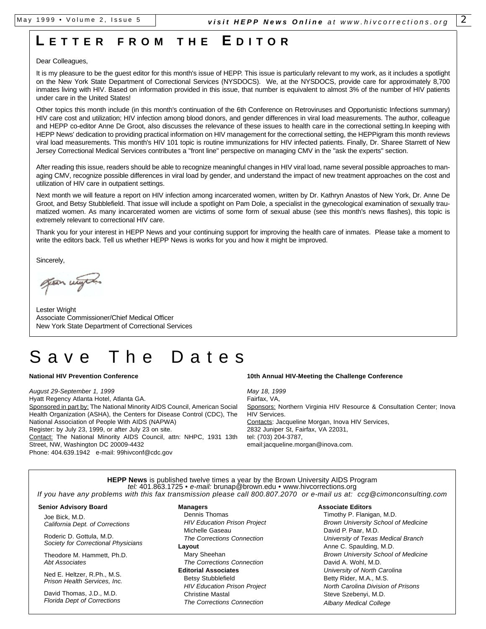## **L ETTE R FRO M T H E E DITO R**

#### Dear Colleagues,

It is my pleasure to be the guest editor for this month's issue of HEPP. This issue is particularly relevant to my work, as it includes a spotlight on the New York State Department of Correctional Services (NYSDOCS). We, at the NYSDOCS, provide care for approximately 8,700 inmates living with HIV. Based on information provided in this issue, that number is equivalent to almost 3% of the number of HIV patients under care in the United States!

Other topics this month include (in this month's continuation of the 6th Conference on Retroviruses and Opportunistic Infections summary) HIV care cost and utilization; HIV infection among blood donors, and gender differences in viral load measurements. The author, colleague and HEPP co-editor Anne De Groot, also discusses the relevance of these issues to health care in the correctional setting.In keeping with HEPP News' dedication to providing practical information on HIV management for the correctional setting, the HEPPigram this month reviews viral load measurements. This month's HIV 101 topic is routine immunizations for HIV infected patients. Finally, Dr. Sharee Starrett of New Jersey Correctional Medical Services contributes a "front line" perspective on managing CMV in the "ask the experts" section.

After reading this issue, readers should be able to recognize meaningful changes in HIV viral load, name several possible approaches to managing CMV, recognize possible differences in viral load by gender, and understand the impact of new treatment approaches on the cost and utilization of HIV care in outpatient settings.

Next month we will feature a report on HIV infection among incarcerated women, written by Dr. Kathryn Anastos of New York, Dr. Anne De Groot, and Betsy Stubblefield. That issue will include a spotlight on Pam Dole, a specialist in the gynecological examination of sexually traumatized women. As many incarcerated women are victims of some form of sexual abuse (see this month's news flashes), this topic is extremely relevant to correctional HIV care.

Thank you for your interest in HEPP News and your continuing support for improving the health care of inmates. Please take a moment to write the editors back. Tell us whether HEPP News is works for you and how it might be improved.

Sincerely,

gean wight

Lester Wright Associate Commissioner/Chief Medical Officer New York State Department of Correctional Services

# ave The Dates

#### **National HIV Prevention Conference**

*August 29-September 1, 1999* Hyatt Regency Atlanta Hotel, Atlanta GA. Sponsored in part by: The National Minority AIDS Council, American Social Health Organization (ASHA), the Centers for Disease Control (CDC), The National Association of People With AIDS (NAPWA) Register: by July 23, 1999, or after July 23 on site. Contact: The National Minority AIDS Council, attn: NHPC, 1931 13th Street, NW, Washington DC 20009-4432 Phone: 404.639.1942 e-mail: 99hivconf@cdc.gov

#### **10th Annual HIV-Meeting the Challenge Conference**

*May 18, 1999* Fairfax, VA, Sponsors: Northern Virginia HIV Resource & Consultation Center; Inova HIV Services. Contacts: Jacqueline Morgan, Inova HIV Services, 2832 Juniper St, Fairfax, VA 22031, tel: (703) 204-3787, email:jacqueline.morgan@inova.com.

**HEPP News** is published twelve times a year by the Brown University AIDS Program *tel:* 401.863.1725 • *e-mail:* brunap@brown.edu • www.hivcorrections.org *If you have any problems with this fax transmission please call 800.807.2070 or e-mail us at: ccg@cimonconsulting.com*

#### **Senior Advisory Board**

Joe Bick, M.D. *California Dept. of Corrections*

Roderic D. Gottula, M.D. *Society for Correctional Physicians*

Theodore M. Hammett, Ph.D. *Abt Associates*

Ned E. Heltzer, R.Ph., M.S. *Prison Health Services, Inc.*

David Thomas, J.D., M.D. *Florida Dept of Corrections*

#### **Managers**

Dennis Thomas *HIV Education Prison Project* Michelle Gaseau *The Corrections Connection* **Layout**  Mary Sheehan *The Corrections Connection* **Editorial Associates** Betsy Stubblefield *HIV Education Prison Project* Christine Mastal *The Corrections Connection*

#### **Associate Editors**

Timothy P. Flanigan, M.D. *Brown University School of Medicine* David P. Paar, M.D. *University of Texas Medical Branch* Anne C. Spaulding, M.D. *Brown University School of Medicine* David A. Wohl, M.D. *University of North Carolina* Betty Rider, M.A., M.S. *North Carolina Division of Prisons* Steve Szebenyi, M.D. *Albany Medical College*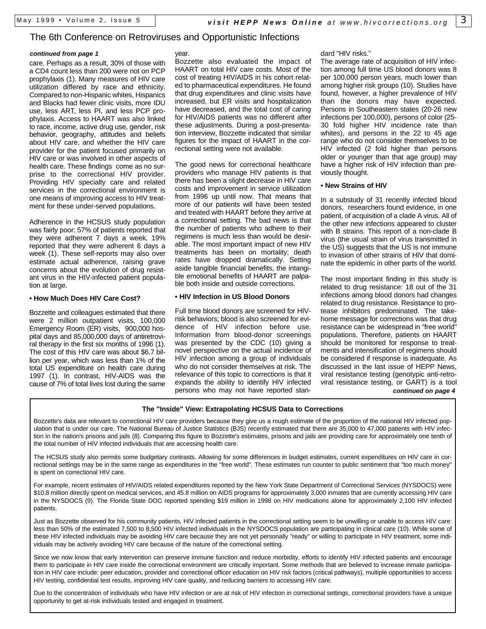#### The 6th Conference on Retroviruses and Opportunistic Infections

#### *continued from page 1*

care. Perhaps as a result, 30% of those with a CD4 count less than 200 were not on PCP prophylaxis (1). Many measures of HIV care utilization differed by race and ethnicity. Compared to non-Hispanic whites, Hispanics and Blacks had fewer clinic visits, more IDU use, less ART, less PI, and less PCP prophylaxis. Access to HAART was also linked to race, income, active drug use, gender, risk behavior, geography, attitudes and beliefs about HIV care, and whether the HIV care provider for the patient focused primarily on HIV care or was involved in other aspects of health care. These findings come as no surprise to the correctional HIV provider. Providing HIV specialty care and related services in the correctional environment is one means of improving access to HIV treatment for these under-served populations.

Adherence in the HCSUS study population was fairly poor: 57% of patients reported that they were adherent 7 days a week, 19% reported that they were adherent 6 days a week (1). These self-reports may also over estimate actual adherence, raising grave concerns about the evolution of drug resistant virus in the HIV-infected patient population at large.

#### **• How Much Does HIV Care Cost?**

Bozzette and colleagues estimated that there were 2 million outpatient visits, 100,000 Emergency Room (ER) visits, 900,000 hospital days and 85,000,000 days of antiretroviral therapy in the first six months of 1996 (1). The cost of this HIV care was about \$6.7 billion per year, which was less than 1% of the total US expenditure on health care during 1997 (1). In contrast, HIV-AIDS was the cause of 7% of total lives lost during the same year.

Bozzette also evaluated the impact of HAART on total HIV care costs. Most of the cost of treating HIV/AIDS in his cohort related to pharmaceutical expenditures. He found that drug expenditures and clinic visits have increased, but ER visits and hospitalization have decreased, and the total cost of caring for HIV/AIDS patients was no different after these adjustments. During a post-presentation interview, Bozzette indicated that similar figures for the impact of HAART in the correctional setting were not available.

The good news for correctional healthcare providers who manage HIV patients is that there has been a slight decrease in HIV care costs and improvement in service utilization from 1996 up until now. That means that more of our patients will have been tested and treated with HAART before they arrive at a correctional setting. The bad news is that the number of patients who adhere to their regimens is much less than would be desirable. The most important impact of new HIV treatments has been on mortality; death rates have dropped dramatically. Setting aside tangible financial benefits, the intangible emotional benefits of HAART are palpable both inside and outside corrections.

#### **• HIV Infection in US Blood Donors**

Full time blood donors are screened for HIVrisk behaviors; blood is also screened for evidence of HIV infection before use. Information from blood-donor screenings was presented by the CDC (10) giving a novel perspective on the actual incidence of HIV infection among a group of individuals who do not consider themselves at risk. The relevance of this topic to corrections is that it expands the ability to identify HIV infected persons who may not have reported standard "HIV risks."

The average rate of acquisition of HIV infection among full time US blood donors was 8 per 100,000 person years, much lower than among higher risk groups (10). Studies have found, however, a higher prevalence of HIV than the donors may have expected. Persons in Southeastern states (20-26 new infections per 100,000), persons of color (25- 30 fold higher HIV incidence rate than whites), and persons in the 22 to 45 age range who do not consider themselves to be HIV infected (2 fold higher than persons older or younger than that age group) may have a higher risk of HIV infection than previously thought.

#### **• New Strains of HIV**

In a substudy of 31 recently infected blood donors, researchers found evidence, in one patient, of acquisition of a clade A virus. All of the other new infections appeared to cluster with B strains. This report of a non-clade B virus (the usual strain of virus transmitted in the US) suggests that the US is not immune to invasion of other strains of HIV that dominate the epidemic in other parts of the world.

The most important finding in this study is related to drug resistance: 18 out of the 31 infections among blood donors had changes related to drug resistance. Resistance to protease inhibitors predominated. The takehome message for corrections was that drug resistance can be widespread in "free world" populations. Therefore, patients on HAART should be monitored for response to treatments and intensification of regimens should be considered if response is inadequate. As discussed in the last issue of HEPP News, viral resistance testing (genotypic anti-retroviral resistance testing, or GART) is a tool *continued on page 4*

#### **The "Inside" View: Extrapolating HCSUS Data to Corrections**

Bozzette's data are relevant to correctional HIV care providers because they give us a rough estimate of the proportion of the national HIV infected population that is under our care. The National Bureau of Justice Statistics (BJS) recently estimated that there are 35,000 to 47,000 patients with HIV infection in the nation's prisons and jails (8). Comparing this figure to Bozzette's estimates, prisons and jails are providing care for approximately one tenth of the total number of HIV infected individuals that are accessing health care.

The HCSUS study also permits some budgetary contrasts. Allowing for some differences in budget estimates, current expenditures on HIV care in correctional settings may be in the same range as expenditures in the "free world". These estimates run counter to public sentiment that "too much money" is spent on correctional HIV care.

For example, recent estimates of HIV/AIDS related expenditures reported by the New York State Department of Correctional Services (NYSDOCS) were \$10.8 million directly spent on medical services, and 45.8 million on AIDS programs for approximately 3,000 inmates that are currently accessing HIV care in the NYSDOCS (9). The Florida State DOC reported spending \$19 million in 1998 on HIV medications alone for approximately 2,100 HIV infected patients.

Just as Bozzette observed for his community patients, HIV infected patients in the correctional setting seem to be unwilling or unable to access HIV care: less than 50% of the estimated 7,500 to 8,500 HIV infected individuals in the NYSDOCS population are participating in clinical care (10). While some of these HIV infected individuals may be avoiding HIV care because they are not yet personally "ready" or willing to participate in HIV treatment, some individuals may be actively avoiding HIV care because of the nature of the correctional setting.

Since we now know that early intervention can preserve immune function and reduce morbidity, efforts to identify HIV infected patients and encourage them to participate in HIV care inside the correctional environment are critically important. Some methods that are believed to increase inmate participation in HIV care include: peer education, provider and correctional officer education on HIV risk factors (critical pathways), multiple opportunities to access HIV testing, confidential test results, improving HIV care quality, and reducing barriers to accessing HIV care.

Due to the concentration of individuals who have HIV infection or are at risk of HIV infection in correctional settings, correctional providers have a unique opportunity to get at-risk individuals tested and engaged in treatment.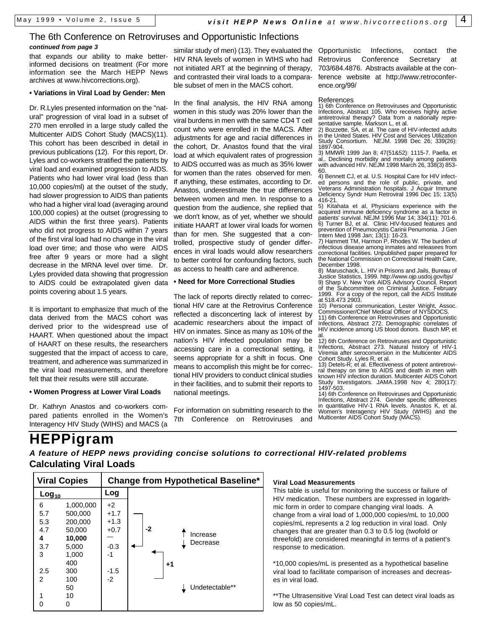## The 6th Conference on Retroviruses and Opportunistic Infections

that expands our ability to make betterinformed decisions on treatment (For more information see the March HEPP News archives at www.hivcorrections.org). *continued from page 3*

#### **• Variations in Viral Load by Gender: Men**

Dr. R.Lyles presented information on the "natural" progression of viral load in a subset of 270 men enrolled in a large study called the Multicenter AIDS Cohort Study (MACS)(11). This cohort has been described in detail in previous publications (12). For this report, Dr. Lyles and co-workers stratified the patients by viral load and examined progression to AIDS. Patients who had lower viral load (less than 10,000 copies/ml) at the outset of the study, had slower progression to AIDS than patients who had a higher viral load (averaging around 100,000 copies) at the outset (progressing to AIDS within the first three years). Patients who did not progress to AIDS within 7 years of the first viral load had no change in the viral load over time; and those who were AIDS free after 9 years or more had a slight decrease in the MRNA level over time. Dr. Lyles provided data showing that progression to AIDS could be extrapolated given data points covering about 1.5 years.

It is important to emphasize that much of the data derived from the MACS cohort was derived prior to the widespread use of HAART. When questioned about the impact of HAART on these results, the researchers suggested that the impact of access to care, treatment, and adherence was summarized in the viral load measurements, and therefore felt that their results were still accurate.

#### **• Women Progress at Lower Viral Loads**

Dr. Kathryn Anastos and co-workers compared patients enrolled in the Women's Interagency HIV Study (WIHS) and MACS (a

similar study of men) (13). They evaluated the HIV RNA levels of women in WIHS who had not initiated ART at the beginning of therapy, and contrasted their viral loads to a comparable subset of men in the MACS cohort.

In the final analysis, the HIV RNA among women in this study was 20% lower than the viral burdens in men with the same CD4 T cell count who were enrolled in the MACS. After adjustments for age and racial differences in the cohort, Dr. Anastos found that the viral load at which equivalent rates of progression to AIDS occurred was as much as 35% lower for women than the rates observed for men. If anything, these estimates, according to Dr. Anastos, underestimate the true differences between women and men. In response to a question from the audience, she replied that we don't know, as of yet, whether we should initiate HAART at lower viral loads for women than for men. She suggested that a controlled, prospective study of gender differences in viral loads would allow researchers to better control for confounding factors, such as access to health care and adherence.

#### **• Need for More Correctional Studies**

The lack of reports directly related to correctional HIV care at the Retrovirus Conference reflected a disconcerting lack of interest by academic researchers about the impact of HIV on inmates. Since as many as 10% of the nation's HIV infected population may be accessing care in a correctional setting, it seems appropriate for a shift in focus. One means to accomplish this might be for correctional HIV providers to conduct clinical studies in their facilities, and to submit their reports to national meetings.

For information on submitting research to the Conference on Retroviruses and

Opportunistic Infections, contact the Retrovirus Conference Secretary at 703/684.4876. Abstracts available at the conference website at http://www.retroconference.org/99/

#### References

1) 6th Conference on Retroviruses and Opportunistic Infections, Abstract 105. Who receives highly active antiretroviral therapy? Data from a nationally representative sample. Markson L, et al.

2) Bozzette, SA, et al. The care of HIV-infected adults in the United States. HIV Cost and Services Utilization Study Consortium. NEJM. 1998 Dec 26; 339(26): 1897-904.

3) MMWR 1999 Jan 8; 47(51&52): 1115-7. Paella, et al., Declining morbidity and mortaliy among patients with advanced HIV. NEJM 1998 March 26, 338(3) 853-60.

4) Bennett CJ, et al. U.S. Hospital Care for HIV infected persons and the role of public, private, and Veterans Administration hospitals. J Acquir Immune Deficiency Syndr Hum Retroviral 1996 Dec 15; 13(5) 416-21.

5) Kitahata et al, Physicians experience with the acquired immune deficiency syndrome as a factor in patients' survival. NEJM 1996 Mar 14; 334(11): 701-6. 6) Turner BJ, et al. Clinic HIV-focused features and prevention of Pneumocystis Carinii Penumonia. J Gen Intern Med 1998 Jan; 13(1): 16-23. 7) Hammett TM, Harmon P, Rhodes W. The burden of

infectious disease among inmates and releasees from correctional facilities. Unpublished paper prepared for the National Commission on Correctional Health Care, December 1998.

8) Maruschack, L. HIV in Prisons and Jails, Bureau of Justice Statistics, 1999. http://www.ojp.usdoj.gov/bjs/ 9) Sharp V. New York AIDS Advisory Council. Report of the Subcommittee on Criminal Justice. February 1999. For a copy of the report, call the AIDS Institute at 518.473 2903.

10) Personal communication, Lester Wright, Assoc. Commissioner/Chief Medical Officer of NYSDOCS.

11) 6th Conference on Retroviruses and Opportunistic Infections, Abstract 272. Demographic correlates of HIV incidence among US blood donors. Busch MP, et al.

12) 6th Conference on Retroviruses and Opportunistic Infections, Abstract 273. Natural history of HIV-1 Viremia after seroconversion in the Multicenter AIDS Cohort Study. Lyles R, et al.

13) Detels-R; et al. Effectiveness of potent antiretroviral therapy on time to AIDS and death in men with known HIV infection duration. Multicenter AIDS Cohort Study Investigators. JAMA.1998 Nov 4; 280(17): 1497-503.

14) 6th Conference on Retroviruses and Opportunistic Infections, Abstract 274. Gender specific differences in quantitative HIV-1 RNA levels. Anastos K, et al. Women's Interagency HIV Study (WIHS) and the Multicenter AIDS Cohort Study (MACS).

## **HEPPigram** *A feature of HEPP news providing concise solutions to correctional HIV-related problems* **Calculating Viral Loads**

| <b>Viral Copies</b>                                      |                                                                                                        | <b>Change from Hypothetical Baseline*</b>                            |                                                    |  |  |
|----------------------------------------------------------|--------------------------------------------------------------------------------------------------------|----------------------------------------------------------------------|----------------------------------------------------|--|--|
| $Log_{10}$                                               |                                                                                                        | Log                                                                  |                                                    |  |  |
| 6<br>5.7<br>5.3<br>4.7<br>4<br>3.7<br>3<br>2.5<br>2<br>1 | 1,000,000<br>500,000<br>200,000<br>50,000<br>10,000<br>5,000<br>1,000<br>400<br>300<br>100<br>50<br>10 | $+2$<br>$+1.7$<br>$+1.3$<br>$+0.7$<br>$-0.3$<br>-1<br>$-1.5$<br>$-2$ | -2<br>Increase<br>Decrease<br>+1<br>Undetectable** |  |  |
| U                                                        | 0                                                                                                      |                                                                      |                                                    |  |  |

#### **Viral Load Measurements**

This table is useful for monitoring the success or failure of HIV medication. These numbers are expressed in logarithmic form in order to compare changing viral loads. A change from a viral load of 1,000,000 copies/mL to 10,000 copies/mL represents a 2 log reduction in viral load. Only changes that are greater than 0.3 to 0.5 log (twofold or threefold) are considered meaningful in terms of a patient's response to medication.

\*10,000 copies/mL is presented as a hypothetical baseline viral load to facilitate comparison of increases and decreases in viral load.

\*\*The Ultrasensitive Viral Load Test can detect viral loads as low as 50 copies/mL.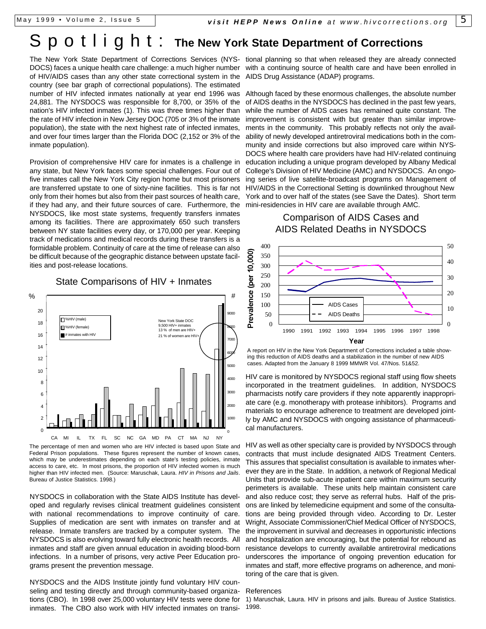## Spotlight : **The New York State Department of Corrections**

DOCS) faces a unique health care challenge: a much higher number with a continuing source of health care and have been enrolled in of HIV/AIDS cases than any other state correctional system in the AIDS Drug Assistance (ADAP) programs. country (see bar graph of correctional populations). The estimated number of HIV infected inmates nationally at year end 1996 was 24,881. The NYSDOCS was responsible for 8,700, or 35% of the nation's HIV infected inmates (1). This was three times higher than the rate of HIV infection in New Jersey DOC (705 or 3% of the inmate population), the state with the next highest rate of infected inmates, and over four times larger than the Florida DOC (2,152 or 3% of the inmate population).

Provision of comprehensive HIV care for inmates is a challenge in any state, but New York faces some special challenges. Four out of five inmates call the New York City region home but most prisoners are transferred upstate to one of sixty-nine facilities. This is far not only from their homes but also from their past sources of health care, if they had any, and their future sources of care. Furthermore, the NYSDOCS, like most state systems, frequently transfers inmates among its facilities. There are approximately 650 such transfers between NY state facilities every day, or 170,000 per year. Keeping track of medications and medical records during these transfers is a formidable problem. Continuity of care at the time of release can also be difficult because of the geographic distance between upstate facilities and post-release locations.

#### $\Omega$  $\overline{2}$ 4 6 8 10 12 14 16 18 20 CA MI IL TX FL SC NC GA MD PA CT MA NJ HIV (male) **M**%HIV (female) # inmates with HIV 0 1000 2000 3000 4000 5000 60 7000 8000 9000 York State DOC 9,500 HIV+ inmates 13 % of men are HIV+ 21 % of women are HIV+ #  $\frac{1}{2}$

State Comparisons of HIV + Inmates

The percentage of men and women who are HIV infected is based upon State and Federal Prison populations. These figures represent the number of known cases, which may be underestimates depending on each state's testing policies, inmate access to care, etc. In most prisons, the proportion of HIV infected women is much higher than HIV infected men. (Source: Maruschak, Laura. *HIV in Prisons and Jails*. Bureau of Justice Statistics. 1998.)

NYSDOCS in collaboration with the State AIDS Institute has developed and regularly revises clinical treatment guidelines consistent with national recommendations to improve continuity of care. Supplies of medication are sent with inmates on transfer and at release. Inmate transfers are tracked by a computer system. The NYSDOCS is also evolving toward fully electronic health records. All inmates and staff are given annual education in avoiding blood-born infections. In a number of prisons, very active Peer Education programs present the prevention message.

NYSDOCS and the AIDS Institute jointly fund voluntary HIV counseling and testing directly and through community-based organizations (CBO). In 1998 over 25,000 voluntary HIV tests were done for inmates. The CBO also work with HIV infected inmates on transi-

The New York State Department of Corrections Services (NYS-tional planning so that when released they are already connected

Although faced by these enormous challenges, the absolute number of AIDS deaths in the NYSDOCS has declined in the past few years, while the number of AIDS cases has remained quite constant. The improvement is consistent with but greater than similar improvements in the community. This probably reflects not only the availability of newly developed antiretroviral medications both in the community and inside corrections but also improved care within NYS-DOCS where health care providers have had HIV-related continuing education including a unique program developed by Albany Medical College's Division of HIV Medicine (AMC) and NYSDOCS. An ongoing series of live satellite-broadcast programs on Management of HIV/AIDS in the Correctional Setting is downlinked throughout New York and to over half of the states (see Save the Dates). Short term mini-residencies in HIV care are available through AMC.

### Comparison of AIDS Cases and AIDS Related Deaths in NYSDOCS



A report on HIV in the New York Department of Corrections included a table showing this reduction of AIDS deaths and a stabilization in the number of new AIDS cases. Adapted from the January 8 1999 MMWR Vol. 47/Nos. 51&52.

HIV care is monitored by NYSDOCS regional staff using flow sheets incorporated in the treatment guidelines. In addition, NYSDOCS pharmacists notify care providers if they note apparently inappropriate care (e.g. monotherapy with protease inhibitors). Programs and materials to encourage adherence to treatment are developed jointly by AMC and NYSDOCS with ongoing assistance of pharmaceutical manufacturers.

HIV as well as other specialty care is provided by NYSDOCS through contracts that must include designated AIDS Treatment Centers. This assures that specialist consultation is available to inmates wherever they are in the State. In addition, a network of Regional Medical Units that provide sub-acute inpatient care within maximum security perimeters is available. These units help maintain consistent care and also reduce cost; they serve as referral hubs. Half of the prisons are linked by telemedicine equipment and some of the consultations are being provided through video. According to Dr. Lester Wright, Associate Commissioner/Chief Medical Officer of NYSDOCS, the improvement in survival and decreases in opportunistic infections and hospitalization are encouraging, but the potential for rebound as resistance develops to currently available antiretroviral medications underscores the importance of ongoing prevention education for inmates and staff, more effective programs on adherence, and monitoring of the care that is given.

#### References

1) Maruschak, Laura. HIV in prisons and jails. Bureau of Justice Statistics. 1998.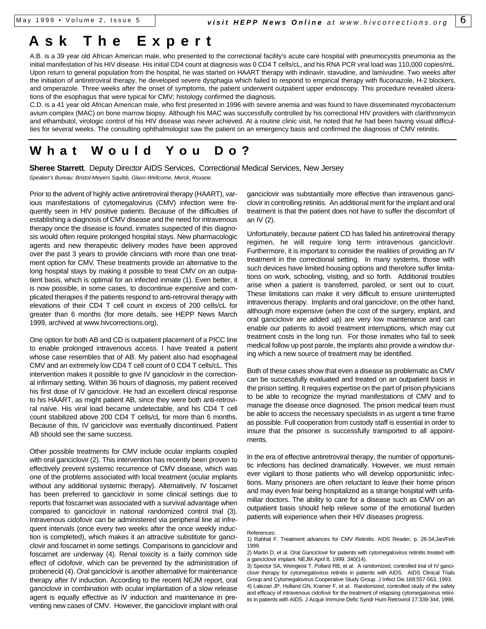## **Ask The Exper t**

A.B. is a 39 year old African American male, who presented to the correctional facility's acute care hospital with pneumocystis pneumonia as the initial manifestation of his HIV disease. His initial CD4 count at diagnosis was 0 CD4 T cells/cL, and his RNA PCR viral load was 110,000 copies/mL. Upon return to general population from the hospital, he was started on HAART therapy with indinavir, stavudine, and lamivudine. Two weeks after the initiation of antiretroviral therapy, he developed severe dysphagia which failed to respond to empirical therapy with fluconazole, H-2 blockers, and omperazole. Three weeks after the onset of symptoms, the patient underwent outpatient upper endoscopy. This procedure revealed ulcerations of the esophagus that were typical for CMV; histology confirmed the diagnosis.

C.D. is a 41 year old African American male, who first presented in 1996 with severe anemia and was found to have disseminated mycobacterium avium complex (MAC) on bone marrow biopsy. Although his MAC was successfully controlled by his correctional HIV providers with clarithromycin and ethambutol, virologic control of his HIV disease was never achieved. At a routine clinic visit, he noted that he had been having visual difficulties for several weeks. The consulting ophthalmologist saw the patient on an emergency basis and confirmed the diagnosis of CMV retinitis.

## **What Would You Do?**

**Sheree Starrett**, Deputy Director AIDS Services, Correctional Medical Services, New Jersey *Speaker's Bureau: Bristol-Meyers Squibb, Glaxo-Wellcome, Merck, Roxane.*

Prior to the advent of highly active antiretroviral therapy (HAART), various manifestations of cytomegalovirus (CMV) infection were frequently seen in HIV positive patients. Because of the difficulties of establishing a diagnosis of CMV disease and the need for intravenous therapy once the disease is found, inmates suspected of this diagnosis would often require prolonged hospital stays. New pharmacologic agents and new therapeutic delivery modes have been approved over the past 3 years to provide clinicians with more than one treatment option for CMV. These treatments provide an alternative to the long hospital stays by making it possible to treat CMV on an outpatient basis, which is optimal for an infected inmate (1). Even better, it is now possible, in some cases, to discontinue expensive and complicated therapies if the patients respond to anti-retroviral therapy with elevations of their CD4 T cell count in excess of 200 cells/cL for greater than 6 months (for more details, see HEPP News March 1999, archived at www.hivcorrections.org).

One option for both AB and CD is outpatient placement of a PICC line to enable prolonged intravenous access. I have treated a patient whose case resembles that of AB. My patient also had esophageal CMV and an extremely low CD4 T cell count of 0 CD4 T cells/cL. This intervention makes it possible to give IV ganciclovir in the correctional infirmary setting. Within 36 hours of diagnosis, my patient received his first dose of IV ganciclovir. He had an excellent clinical response to his HAART, as might patient AB, since they were both anti-retroviral naïve. His viral load became undetectable, and his CD4 T cell count stabilized above 200 CD4 T cells/cL for more than 6 months. Because of this, IV ganciclovir was eventually discontinued. Patient AB should see the same success.

Other possible treatments for CMV include ocular implants coupled with oral ganciclovir (2). This intervention has recently been proven to effectively prevent systemic recurrence of CMV disease, which was one of the problems associated with local treatment (ocular implants without any additional systemic therapy). Alternatively, IV foscarnet has been preferred to ganciclovir in some clinical settings due to reports that foscarnet was associated with a survival advantage when compared to ganciclovir in national randomized control trial (3). Intravenous cidofovir can be administered via peripheral line at infrequent intervals (once every two weeks after the once weekly induction is completed), which makes it an attractive substitute for ganciclovir and foscarnet in some settings. Comparisons to ganciclovir and foscarnet are underway (4). Renal toxicity is a fairly common side effect of cidofovir, which can be prevented by the administration of probenecid (4). Oral ganciclovir is another alternative for maintenance therapy after IV induction. According to the recent NEJM report, oral ganciclovir in combination with ocular implantation of a slow release agent is equally effective as IV induction and maintenance in preventing new cases of CMV. However, the ganciclovir implant with oral

ganciclovir was substantially more effective than intravenous ganciclovir in controlling retinitis. An additional merit for the implant and oral treatment is that the patient does not have to suffer the discomfort of an IV (2).

Unfortunately, because patient CD has failed his antiretroviral therapy regimen, he will require long term intravenous ganciclovir. Furthermore, it is important to consider the realities of providing an IV treatment in the correctional setting. In many systems, those with such devices have limited housing options and therefore suffer limitations on work, schooling, visiting, and so forth. Additional troubles arise when a patient is transferred, paroled, or sent out to court. These limitations can make it very difficult to ensure uninterrupted intravenous therapy. Implants and oral ganciclovir, on the other hand, although more expensive (when the cost of the surgery, implant, and oral ganciclovir are added up) are very low maintenance and can enable our patients to avoid treatment interruptions, which may cut treatment costs in the long run. For those inmates who fail to seek medical follow up post parole, the implants also provide a window during which a new source of treatment may be identified.

Both of these cases show that even a disease as problematic as CMV can be successfully evaluated and treated on an outpatient basis in the prison setting. It requires expertise on the part of prison physicians to be able to recognize the myriad manifestations of CMV and to manage the disease once diagnosed. The prison medical team must be able to access the necessary specialists in as urgent a time frame as possible. Full cooperation from custody staff is essential in order to insure that the prisoner is successfully transported to all appointments.

In the era of effective antiretroviral therapy, the number of opportunistic infections has declined dramatically. However, we must remain ever vigilant to those patients who will develop opportunistic infections. Many prisoners are often reluctant to leave their home prison and may even fear being hospitalized as a strange hospital with unfamiliar doctors. The ability to care for a disease such as CMV on an outpatient basis should help relieve some of the emotional burden patients will experience when their HIV diseases progress.

#### References:

3) Spector SA, Weingeist T, Pollard RB, et al. A randomized, controlled trial of IV ganciclovir therapy for cytomegalovirus retinitis in patients with AIDS. AIDS Clinical Trials Group and Cytomegalovirus Cooperative Study Group. J Infect Dis 168:557-563, 1993. 4) Lalezari JP, Holland GN, Kramer F, et al. Randomized, controlled study of the safety and efficacy of intravenous cidofovir for the treatment of relapsing cytomegalovirus retinitis in patients with AIDS. J Acquir Immune Defic Syndr Hum Retrovirol 17:339-344, 1998.

<sup>1)</sup> Rahhal F. Treatment advances for CMV Retinitis. AIDS Reader, p. 28-34,Jan/Feb 1999.

<sup>2)</sup> Martin D, et al. Oral Ganciclovir for patients with cytomegalovirus retinitis treated with a ganciclovir implant. NEJM April 8, 1999. 340(14).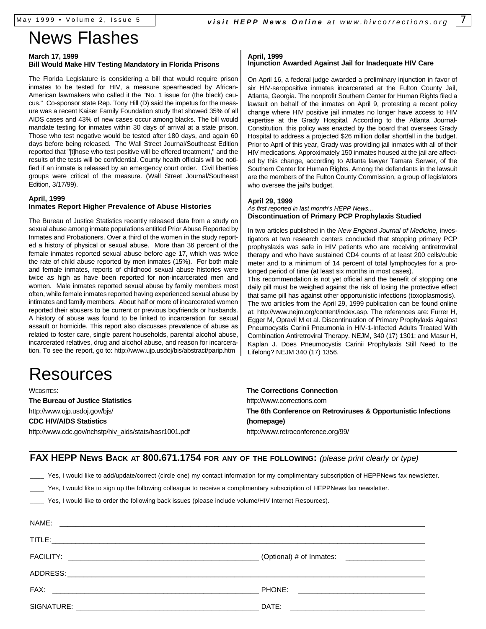# News Flashes

#### **March 17, 1999**

#### **Bill Would Make HIV Testing Mandatory in Florida Prisons**

The Florida Legislature is considering a bill that would require prison inmates to be tested for HIV, a measure spearheaded by African-American lawmakers who called it the "No. 1 issue for (the black) caucus." Co-sponsor state Rep. Tony Hill (D) said the impetus for the measure was a recent Kaiser Family Foundation study that showed 35% of all AIDS cases and 43% of new cases occur among blacks. The bill would mandate testing for inmates within 30 days of arrival at a state prison. Those who test negative would be tested after 180 days, and again 60 days before being released. The Wall Street Journal/Southeast Edition reported that "[t]hose who test positive will be offered treatment," and the results of the tests will be confidential. County health officials will be notified if an inmate is released by an emergency court order. Civil liberties groups were critical of the measure. (Wall Street Journal/Southeast Edition, 3/17/99).

#### **April, 1999 Inmates Report Higher Prevalence of Abuse Histories**

The Bureau of Justice Statistics recently released data from a study on sexual abuse among inmate populations entitled Prior Abuse Reported by Inmates and Probationers. Over a third of the women in the study reported a history of physical or sexual abuse. More than 36 percent of the female inmates reported sexual abuse before age 17, which was twice the rate of child abuse reported by men inmates (15%). For both male and female inmates, reports of childhood sexual abuse histories were twice as high as have been reported for non-incarcerated men and women. Male inmates reported sexual abuse by family members most often, while female inmates reported having experienced sexual abuse by intimates and family members. About half or more of incarcerated women reported their abusers to be current or previous boyfriends or husbands. A history of abuse was found to be linked to incarceration for sexual assault or homicide. This report also discusses prevalence of abuse as related to foster care, single parent households, parental alcohol abuse, incarcerated relatives, drug and alcohol abuse, and reason for incarceration. To see the report, go to: http://www.ujp.usdoj/bis/abstract/parip.htm

# Resources

WEBSITES: **The Bureau of Justice Statistics** http://www.ojp.usdoj.gov/bjs/ **CDC HIV/AIDS Statistics** http://www.cdc.gov/nchstp/hiv\_aids/stats/hasr1001.pdf

#### **April, 1999**

#### **Injunction Awarded Against Jail for Inadequate HIV Care**

On April 16, a federal judge awarded a preliminary injunction in favor of six HIV-seropositive inmates incarcerated at the Fulton County Jail, Atlanta, Georgia. The nonprofit Southern Center for Human Rights filed a lawsuit on behalf of the inmates on April 9, protesting a recent policy change where HIV positive jail inmates no longer have access to HIV expertise at the Grady Hospital. According to the Atlanta Journal-Constitution, this policy was enacted by the board that oversees Grady Hospital to address a projected \$26 million dollar shortfall in the budget. Prior to April of this year, Grady was providing jail inmates with all of their HIV medications. Approximately 150 inmates housed at the jail are affected by this change, according to Atlanta lawyer Tamara Serwer, of the Southern Center for Human Rights. Among the defendants in the lawsuit are the members of the Fulton County Commission, a group of legislators who oversee the jail's budget.

#### **April 29, 1999**

#### *As first reported in last month's HEPP News...* **Discontinuation of Primary PCP Prophylaxis Studied**

In two articles published in the *New England Journal of Medicine,* investigators at two research centers concluded that stopping primary PCP prophyslaxis was safe in HIV patients who are receiving antiretroviral therapy and who have sustained CD4 counts of at least 200 cells/cubic meter and to a minimum of 14 percent of total lymphocytes for a prolonged period of time (at least six months in most cases).

This recommendation is not yet official and the benefit of stopping one daily pill must be weighed against the risk of losing the protective effect that same pill has against other opportunistic infections (toxoplasmosis). The two articles from the April 29, 1999 publication can be found online at: http://www.nejm.org/content/index.asp. The references are: Furrer H, Egger M, Opravil M et al. Discontinuation of Primary Prophylaxis Against Pneumocystis Carinii Pneumonia in HIV-1-Infected Adults Treated With Combination Antiretroviral Therapy. NEJM, 340 (17) 1301; and Masur H, Kaplan J. Does Pneumocystis Carinii Prophylaxis Still Need to Be Lifelong? NEJM 340 (17) 1356.

**The Corrections Connection** http://www.corrections.com **The 6th Conference on Retroviruses & Opportunistic Infections (homepage)** http://www.retroconference.org/99/

**FAX HEPP NEWS BACK AT 800.671.1754 FOR ANY OF THE FOLLOWING:** *(please print clearly or type)*

Yes, I would like to add/update/correct (circle one) my contact information for my complimentary subscription of HEPPNews fax newsletter.

Yes, I would like to sign up the following colleague to receive a complimentary subscription of HEPPNews fax newsletter.

Yes, I would like to order the following back issues (please include volume/HIV Internet Resources).

| NAME: |  |
|-------|--|
|       |  |
|       |  |
|       |  |
|       |  |
|       |  |